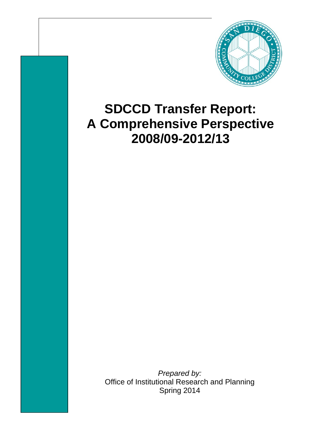

## **SDCCD Transfer Report: A Comprehensive Perspective 2008/09-2012/13**

*Prepared by:*  Office of Institutional Research and Planning Spring 2014